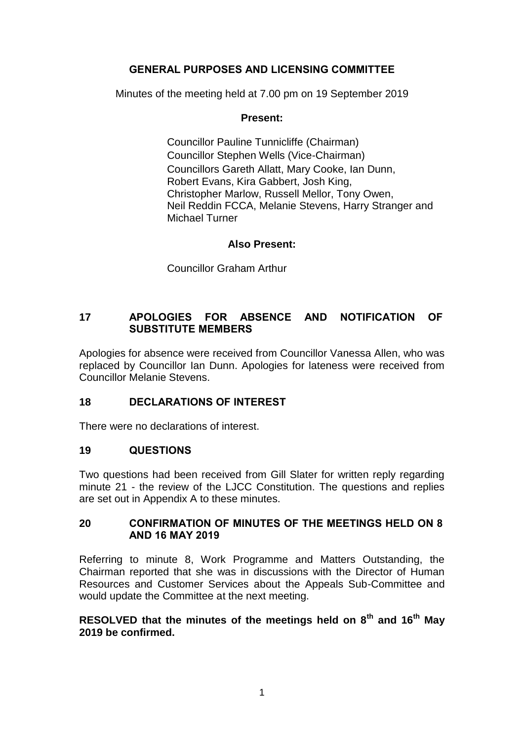# **GENERAL PURPOSES AND LICENSING COMMITTEE**

Minutes of the meeting held at 7.00 pm on 19 September 2019

# **Present:**

Councillor Pauline Tunnicliffe (Chairman) Councillor Stephen Wells (Vice-Chairman) Councillors Gareth Allatt, Mary Cooke, Ian Dunn, Robert Evans, Kira Gabbert, Josh King, Christopher Marlow, Russell Mellor, Tony Owen, Neil Reddin FCCA, Melanie Stevens, Harry Stranger and Michael Turner

# **Also Present:**

Councillor Graham Arthur

# **17 APOLOGIES FOR ABSENCE AND NOTIFICATION OF SUBSTITUTE MEMBERS**

Apologies for absence were received from Councillor Vanessa Allen, who was replaced by Councillor Ian Dunn. Apologies for lateness were received from Councillor Melanie Stevens.

# **18 DECLARATIONS OF INTEREST**

There were no declarations of interest.

# **19 QUESTIONS**

Two questions had been received from Gill Slater for written reply regarding minute 21 - the review of the LJCC Constitution. The questions and replies are set out in Appendix A to these minutes.

#### **20 CONFIRMATION OF MINUTES OF THE MEETINGS HELD ON 8 AND 16 MAY 2019**

Referring to minute 8, Work Programme and Matters Outstanding, the Chairman reported that she was in discussions with the Director of Human Resources and Customer Services about the Appeals Sub-Committee and would update the Committee at the next meeting.

# **RESOLVED that the minutes of the meetings held on 8th and 16th May 2019 be confirmed.**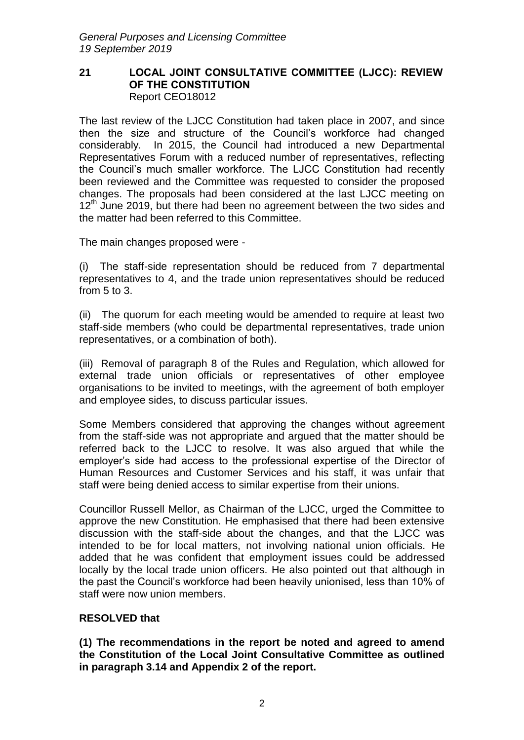#### **21 LOCAL JOINT CONSULTATIVE COMMITTEE (LJCC): REVIEW OF THE CONSTITUTION** Report CEO18012

The last review of the LJCC Constitution had taken place in 2007, and since then the size and structure of the Council's workforce had changed considerably. In 2015, the Council had introduced a new Departmental Representatives Forum with a reduced number of representatives, reflecting the Council's much smaller workforce. The LJCC Constitution had recently been reviewed and the Committee was requested to consider the proposed changes. The proposals had been considered at the last LJCC meeting on  $12<sup>th</sup>$  June 2019, but there had been no agreement between the two sides and the matter had been referred to this Committee.

The main changes proposed were -

(i) The staff-side representation should be reduced from 7 departmental representatives to 4, and the trade union representatives should be reduced from 5 to 3.

(ii) The quorum for each meeting would be amended to require at least two staff-side members (who could be departmental representatives, trade union representatives, or a combination of both).

(iii) Removal of paragraph 8 of the Rules and Regulation, which allowed for external trade union officials or representatives of other employee organisations to be invited to meetings, with the agreement of both employer and employee sides, to discuss particular issues.

Some Members considered that approving the changes without agreement from the staff-side was not appropriate and argued that the matter should be referred back to the LJCC to resolve. It was also argued that while the employer's side had access to the professional expertise of the Director of Human Resources and Customer Services and his staff, it was unfair that staff were being denied access to similar expertise from their unions.

Councillor Russell Mellor, as Chairman of the LJCC, urged the Committee to approve the new Constitution. He emphasised that there had been extensive discussion with the staff-side about the changes, and that the LJCC was intended to be for local matters, not involving national union officials. He added that he was confident that employment issues could be addressed locally by the local trade union officers. He also pointed out that although in the past the Council's workforce had been heavily unionised, less than 10% of staff were now union members.

# **RESOLVED that**

**(1) The recommendations in the report be noted and agreed to amend the Constitution of the Local Joint Consultative Committee as outlined in paragraph 3.14 and Appendix 2 of the report.**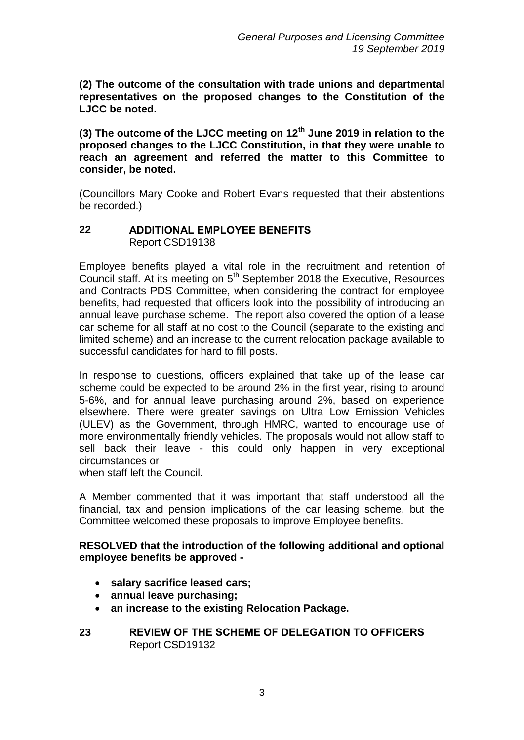**(2) The outcome of the consultation with trade unions and departmental representatives on the proposed changes to the Constitution of the LJCC be noted.** 

**(3) The outcome of the LJCC meeting on 12th June 2019 in relation to the proposed changes to the LJCC Constitution, in that they were unable to reach an agreement and referred the matter to this Committee to consider, be noted.** 

(Councillors Mary Cooke and Robert Evans requested that their abstentions be recorded.)

### **22 ADDITIONAL EMPLOYEE BENEFITS** Report CSD19138

Employee benefits played a vital role in the recruitment and retention of Council staff. At its meeting on 5th September 2018 the Executive, Resources and Contracts PDS Committee, when considering the contract for employee benefits, had requested that officers look into the possibility of introducing an annual leave purchase scheme. The report also covered the option of a lease car scheme for all staff at no cost to the Council (separate to the existing and limited scheme) and an increase to the current relocation package available to successful candidates for hard to fill posts.

In response to questions, officers explained that take up of the lease car scheme could be expected to be around 2% in the first year, rising to around 5-6%, and for annual leave purchasing around 2%, based on experience elsewhere. There were greater savings on Ultra Low Emission Vehicles (ULEV) as the Government, through HMRC, wanted to encourage use of more environmentally friendly vehicles. The proposals would not allow staff to sell back their leave - this could only happen in very exceptional circumstances or

when staff left the Council.

A Member commented that it was important that staff understood all the financial, tax and pension implications of the car leasing scheme, but the Committee welcomed these proposals to improve Employee benefits.

# **RESOLVED that the introduction of the following additional and optional employee benefits be approved -**

- **salary sacrifice leased cars;**
- **annual leave purchasing;**
- **an increase to the existing Relocation Package.**
- **23 REVIEW OF THE SCHEME OF DELEGATION TO OFFICERS** Report CSD19132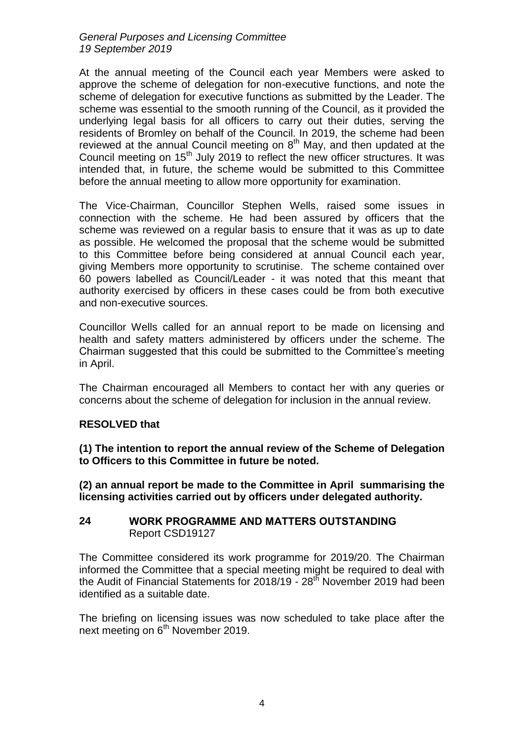*General Purposes and Licensing Committee 19 September 2019*

At the annual meeting of the Council each year Members were asked to approve the scheme of delegation for non-executive functions, and note the scheme of delegation for executive functions as submitted by the Leader. The scheme was essential to the smooth running of the Council, as it provided the underlying legal basis for all officers to carry out their duties, serving the residents of Bromley on behalf of the Council. In 2019, the scheme had been reviewed at the annual Council meeting on  $8<sup>th</sup>$  May, and then updated at the Council meeting on 15<sup>th</sup> July 2019 to reflect the new officer structures. It was intended that, in future, the scheme would be submitted to this Committee before the annual meeting to allow more opportunity for examination.

The Vice-Chairman, Councillor Stephen Wells, raised some issues in connection with the scheme. He had been assured by officers that the scheme was reviewed on a regular basis to ensure that it was as up to date as possible. He welcomed the proposal that the scheme would be submitted to this Committee before being considered at annual Council each year, giving Members more opportunity to scrutinise. The scheme contained over 60 powers labelled as Council/Leader - it was noted that this meant that authority exercised by officers in these cases could be from both executive and non-executive sources.

Councillor Wells called for an annual report to be made on licensing and health and safety matters administered by officers under the scheme. The Chairman suggested that this could be submitted to the Committee's meeting in April.

The Chairman encouraged all Members to contact her with any queries or concerns about the scheme of delegation for inclusion in the annual review.

# **RESOLVED that**

**(1) The intention to report the annual review of the Scheme of Delegation to Officers to this Committee in future be noted.**

**(2) an annual report be made to the Committee in April summarising the licensing activities carried out by officers under delegated authority.** 

#### **24 WORK PROGRAMME AND MATTERS OUTSTANDING** Report CSD19127

The Committee considered its work programme for 2019/20. The Chairman informed the Committee that a special meeting might be required to deal with the Audit of Financial Statements for 2018/19 -  $28<sup>th</sup>$  November 2019 had been identified as a suitable date.

The briefing on licensing issues was now scheduled to take place after the next meeting on 6<sup>th</sup> November 2019.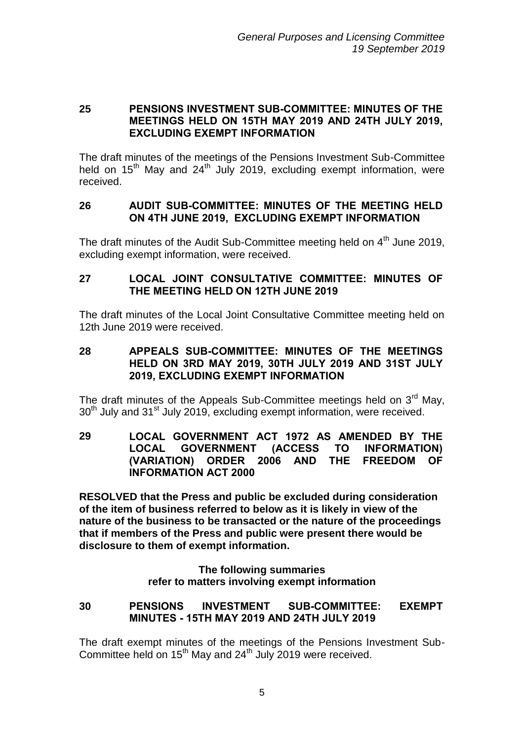# **25 PENSIONS INVESTMENT SUB-COMMITTEE: MINUTES OF THE MEETINGS HELD ON 15TH MAY 2019 AND 24TH JULY 2019, EXCLUDING EXEMPT INFORMATION**

The draft minutes of the meetings of the Pensions Investment Sub-Committee held on  $15<sup>th</sup>$  May and  $24<sup>th</sup>$  July 2019, excluding exempt information, were received.

### **26 AUDIT SUB-COMMITTEE: MINUTES OF THE MEETING HELD ON 4TH JUNE 2019, EXCLUDING EXEMPT INFORMATION**

The draft minutes of the Audit Sub-Committee meeting held on 4<sup>th</sup> June 2019. excluding exempt information, were received.

# **27 LOCAL JOINT CONSULTATIVE COMMITTEE: MINUTES OF THE MEETING HELD ON 12TH JUNE 2019**

The draft minutes of the Local Joint Consultative Committee meeting held on 12th June 2019 were received.

**28 APPEALS SUB-COMMITTEE: MINUTES OF THE MEETINGS HELD ON 3RD MAY 2019, 30TH JULY 2019 AND 31ST JULY 2019, EXCLUDING EXEMPT INFORMATION**

The draft minutes of the Appeals Sub-Committee meetings held on  $3<sup>rd</sup>$  Mav. 30<sup>th</sup> July and 31<sup>st</sup> July 2019, excluding exempt information, were received.

### **29 LOCAL GOVERNMENT ACT 1972 AS AMENDED BY THE LOCAL GOVERNMENT (ACCESS TO INFORMATION) (VARIATION) ORDER 2006 AND THE FREEDOM OF INFORMATION ACT 2000**

**RESOLVED that the Press and public be excluded during consideration of the item of business referred to below as it is likely in view of the nature of the business to be transacted or the nature of the proceedings that if members of the Press and public were present there would be disclosure to them of exempt information.**

> **The following summaries refer to matters involving exempt information**

**30 PENSIONS INVESTMENT SUB-COMMITTEE: EXEMPT MINUTES - 15TH MAY 2019 AND 24TH JULY 2019**

The draft exempt minutes of the meetings of the Pensions Investment Sub-Committee held on  $15<sup>th</sup>$  May and  $24<sup>th</sup>$  July 2019 were received.